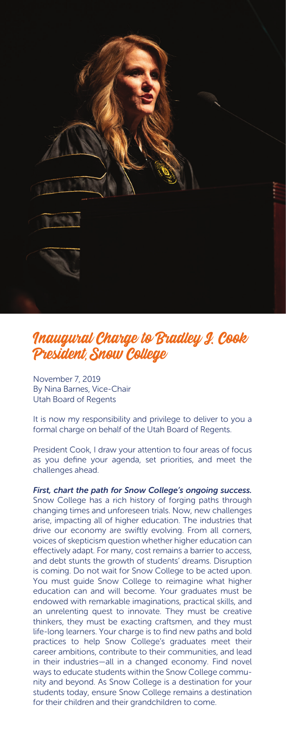

## Inaugural Charge to Bradley J. Cook President, Snow College

November 7, 2019 By Nina Barnes, Vice-Chair Utah Board of Regents

It is now my responsibility and privilege to deliver to you a formal charge on behalf of the Utah Board of Regents.

President Cook, I draw your attention to four areas of focus as you define your agenda, set priorities, and meet the challenges ahead.

*First, chart the path for Snow College's ongoing success.* Snow College has a rich history of forging paths through changing times and unforeseen trials. Now, new challenges arise, impacting all of higher education. The industries that drive our economy are swiftly evolving. From all corners, voices of skepticism question whether higher education can effectively adapt. For many, cost remains a barrier to access, and debt stunts the growth of students' dreams. Disruption is coming. Do not wait for Snow College to be acted upon. You must guide Snow College to reimagine what higher education can and will become. Your graduates must be endowed with remarkable imaginations, practical skills, and an unrelenting quest to innovate. They must be creative thinkers, they must be exacting craftsmen, and they must life-long learners. Your charge is to find new paths and bold practices to help Snow College's graduates meet their career ambitions, contribute to their communities, and lead in their industries—all in a changed economy. Find novel ways to educate students within the Snow College community and beyond. As Snow College is a destination for your students today, ensure Snow College remains a destination for their children and their grandchildren to come.